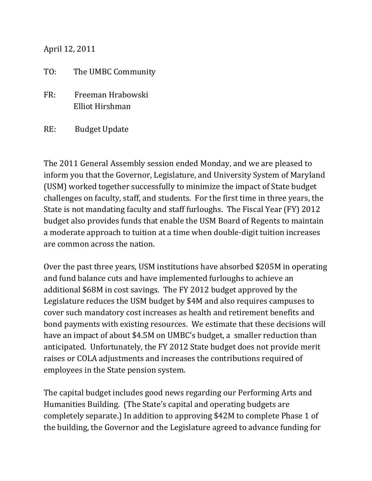April 12, 2011

## TO: The UMBC Community

- FR: Freeman Hrabowski Elliot Hirshman
- RE: Budget Update

The 2011 General Assembly session ended Monday, and we are pleased to inform you that the Governor, Legislature, and University System of Maryland (USM) worked together successfully to minimize the impact of State budget challenges on faculty, staff, and students. For the first time in three years, the State is not mandating faculty and staff furloughs. The Fiscal Year (FY) 2012 budget also provides funds that enable the USM Board of Regents to maintain a moderate approach to tuition at a time when double-digit tuition increases are common across the nation.

Over the past three years, USM institutions have absorbed \$205M in operating and fund balance cuts and have implemented furloughs to achieve an additional \$68M in cost savings. The FY 2012 budget approved by the Legislature reduces the USM budget by \$4M and also requires campuses to cover such mandatory cost increases as health and retirement benefits and bond payments with existing resources. We estimate that these decisions will have an impact of about \$4.5M on UMBC's budget, a smaller reduction than anticipated. Unfortunately, the FY 2012 State budget does not provide merit raises or COLA adjustments and increases the contributions required of employees in the State pension system.

The capital budget includes good news regarding our Performing Arts and Humanities Building. (The State's capital and operating budgets are completely separate.) In addition to approving \$42M to complete Phase 1 of the building, the Governor and the Legislature agreed to advance funding for